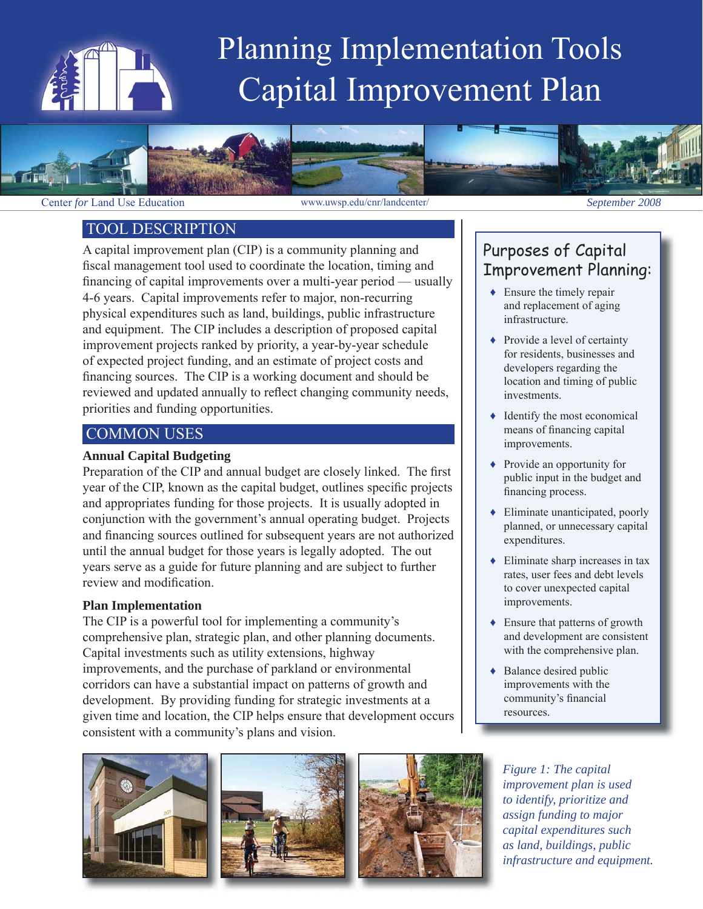

# Planning Implementation Tools Capital Improvement Plan



#### TOOL DESCRIPTION

A capital improvement plan (CIP) is a community planning and fiscal management tool used to coordinate the location, timing and financing of capital improvements over a multi-year period — usually 4-6 years. Capital improvements refer to major, non-recurring physical expenditures such as land, buildings, public infrastructure and equipment. The CIP includes a description of proposed capital improvement projects ranked by priority, a year-by-year schedule of expected project funding, and an estimate of project costs and financing sources. The CIP is a working document and should be reviewed and updated annually to reflect changing community needs, priorities and funding opportunities.

# COMMON USES

#### **Annual Capital Budgeting**

Preparation of the CIP and annual budget are closely linked. The first year of the CIP, known as the capital budget, outlines specific projects and appropriates funding for those projects. It is usually adopted in conjunction with the government's annual operating budget. Projects and financing sources outlined for subsequent years are not authorized until the annual budget for those years is legally adopted. The out years serve as a guide for future planning and are subject to further review and modification.

#### **Plan Implementation**

The CIP is a powerful tool for implementing a community's comprehensive plan, strategic plan, and other planning documents. Capital investments such as utility extensions, highway improvements, and the purchase of parkland or environmental corridors can have a substantial impact on patterns of growth and development. By providing funding for strategic investments at a given time and location, the CIP helps ensure that development occurs consistent with a community's plans and vision.

# Purposes of Capital Improvement Planning:

- $\triangle$  Ensure the timely repair and replacement of aging infrastructure.
- ◆ Provide a level of certainty for residents, businesses and developers regarding the location and timing of public investments.
- ♦ Identify the most economical means of financing capital improvements.
- ♦ Provide an opportunity for public input in the budget and financing process.
- $\triangle$  Eliminate unanticipated, poorly planned, or unnecessary capital expenditures.
- $\triangle$  Eliminate sharp increases in tax rates, user fees and debt levels to cover unexpected capital improvements.
- ♦ Ensure that patterns of growth and development are consistent with the comprehensive plan.
- ◆ Balance desired public improvements with the community's financial resources.







*Figure 1: The capital improvement plan is used to identify, prioritize and assign funding to major capital expenditures such as land, buildings, public infrastructure and equipment.*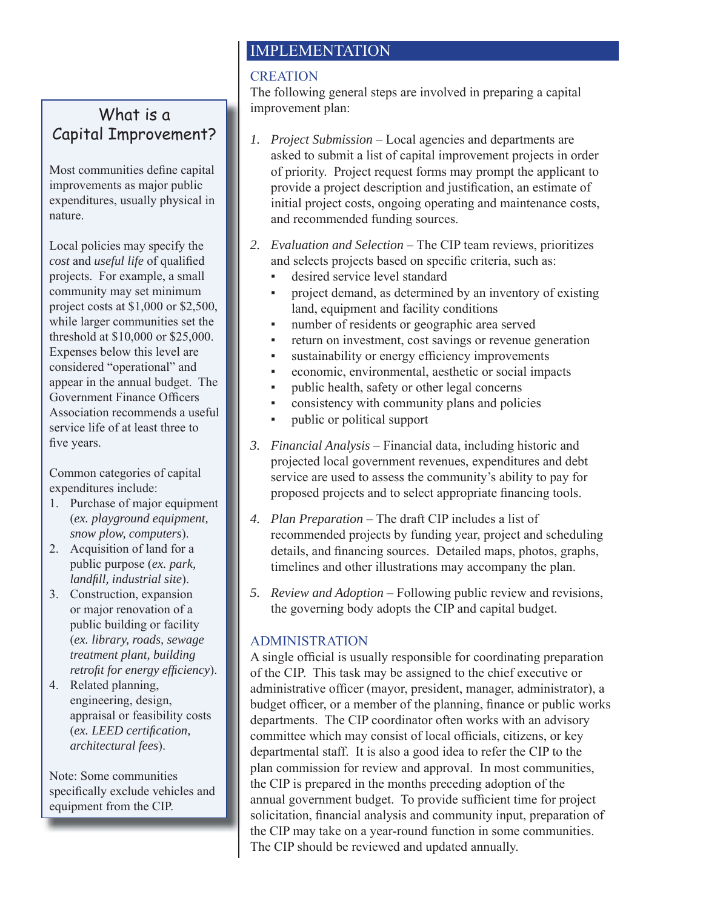# What is a Capital Improvement?

Most communities define capital improvements as major public expenditures, usually physical in nature.

Local policies may specify the *cost* and *useful life* of qualified projects. For example, a small community may set minimum project costs at \$1,000 or \$2,500, while larger communities set the threshold at \$10,000 or \$25,000. Expenses below this level are considered "operational" and appear in the annual budget. The Government Finance Officers Association recommends a useful service life of at least three to five years.

Common categories of capital expenditures include:

- 1. Purchase of major equipment (*ex. playground equipment, snow plow, computers*).
- 2. Acquisition of land for a public purpose (*ex. park, landfill, industrial site*).
- 3. Construction, expansion or major renovation of a public building or facility (*ex. library, roads, sewage treatment plant, building retrofit for energy efficiency*).
- 4. Related planning, engineering, design, appraisal or feasibility costs (*ex. LEED certifi cation, architectural fees*).

Note: Some communities specifically exclude vehicles and equipment from the CIP.

# IMPLEMENTATION

## **CREATION**

The following general steps are involved in preparing a capital improvement plan: imp

- *1. Project Submission* Local agencies and departments are *1.* asked to submit a list of capital improvement projects in order of priority. Project request forms may prompt the applicant to provide a project description and justification, an estimate of initial project costs, ongoing operating and maintenance costs, and recommended funding sources.
- *2. Evaluation and Selection* The CIP team reviews, prioritizes *2.* and selects projects based on specific criteria, such as:
	- desired service level standard
	- project demand, as determined by an inventory of existing land, equipment and facility conditions
	- number of residents or geographic area served
	- return on investment, cost savings or revenue generation
	- sustainability or energy efficiency improvements
	- economic, environmental, aesthetic or social impacts
	- public health, safety or other legal concerns
	- consistency with community plans and policies
	- public or political support
- *3. Financial Analysis* Financial data, including historic and *3.* projected local government revenues, expenditures and debt service are used to assess the community's ability to pay for proposed projects and to select appropriate financing tools.
- *4. Plan Preparation* The draft CIP includes a list of *4.* recommended projects by funding year, project and scheduling details, and financing sources. Detailed maps, photos, graphs, timelines and other illustrations may accompany the plan.
- *5. Review and Adoption* Following public review and revisions, *5.* the governing body adopts the CIP and capital budget.

## **ADMINISTRATION**

A single official is usually responsible for coordinating preparation of the CIP. This task may be assigned to the chief executive or administrative officer (mayor, president, manager, administrator), a budget officer, or a member of the planning, finance or public works departments. The CIP coordinator often works with an advisory dep committee which may consist of local officials, citizens, or key departmental staff. It is also a good idea to refer the CIP to the dep plan commission for review and approval. In most communities, pla the CIP is prepared in the months preceding adoption of the the annual government budget. To provide sufficient time for project solicitation, financial analysis and community input, preparation of the CIP may take on a year-round function in some communities. the The CIP should be reviewed and updated annually.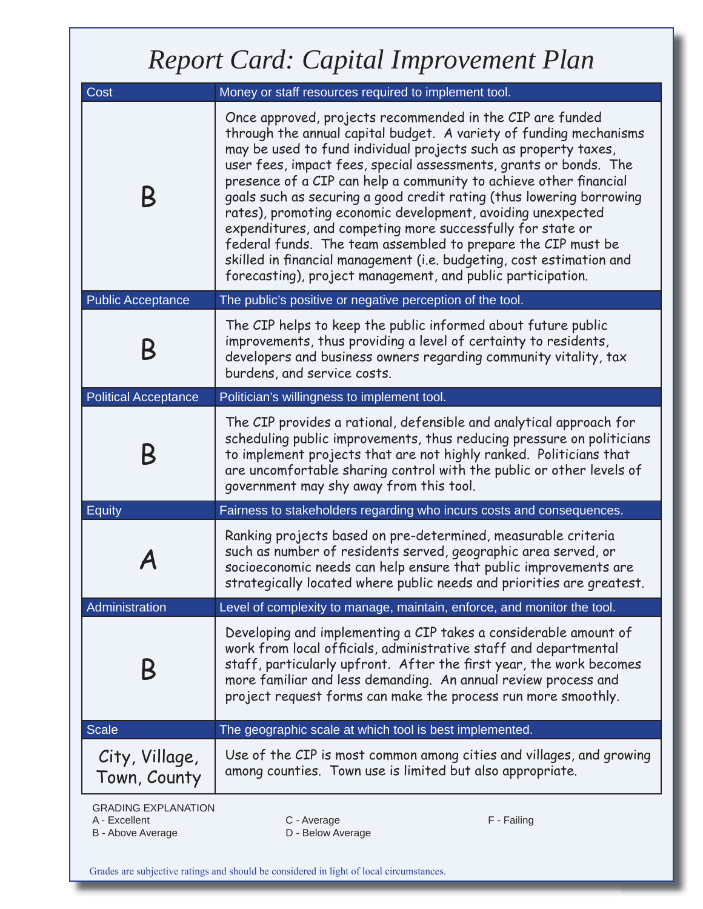# *Report Card: Capital Improvement Plan*

| Cost                                                             | Money or staff resources required to implement tool.                                                                                                                                                                                                                                                                                                                                                                                                                                                                                                                                                                                                                                                                                                     |  |  |  |  |
|------------------------------------------------------------------|----------------------------------------------------------------------------------------------------------------------------------------------------------------------------------------------------------------------------------------------------------------------------------------------------------------------------------------------------------------------------------------------------------------------------------------------------------------------------------------------------------------------------------------------------------------------------------------------------------------------------------------------------------------------------------------------------------------------------------------------------------|--|--|--|--|
| B                                                                | Once approved, projects recommended in the CIP are funded<br>through the annual capital budget. A variety of funding mechanisms<br>may be used to fund individual projects such as property taxes,<br>user fees, impact fees, special assessments, grants or bonds. The<br>presence of a CIP can help a community to achieve other financial<br>goals such as securing a good credit rating (thus lowering borrowing<br>rates), promoting economic development, avoiding unexpected<br>expenditures, and competing more successfully for state or<br>federal funds. The team assembled to prepare the CIP must be<br>skilled in financial management (i.e. budgeting, cost estimation and<br>forecasting), project management, and public participation. |  |  |  |  |
| <b>Public Acceptance</b>                                         | The public's positive or negative perception of the tool.                                                                                                                                                                                                                                                                                                                                                                                                                                                                                                                                                                                                                                                                                                |  |  |  |  |
|                                                                  | The CIP helps to keep the public informed about future public<br>improvements, thus providing a level of certainty to residents,<br>developers and business owners regarding community vitality, tax<br>burdens, and service costs.                                                                                                                                                                                                                                                                                                                                                                                                                                                                                                                      |  |  |  |  |
| <b>Political Acceptance</b>                                      | Politician's willingness to implement tool.                                                                                                                                                                                                                                                                                                                                                                                                                                                                                                                                                                                                                                                                                                              |  |  |  |  |
| Β                                                                | The CIP provides a rational, defensible and analytical approach for<br>scheduling public improvements, thus reducing pressure on politicians<br>to implement projects that are not highly ranked. Politicians that<br>are uncomfortable sharing control with the public or other levels of<br>government may shy away from this tool.                                                                                                                                                                                                                                                                                                                                                                                                                    |  |  |  |  |
| <b>Equity</b>                                                    | Fairness to stakeholders regarding who incurs costs and consequences.                                                                                                                                                                                                                                                                                                                                                                                                                                                                                                                                                                                                                                                                                    |  |  |  |  |
|                                                                  | Ranking projects based on pre-determined, measurable criteria<br>such as number of residents served, geographic area served, or<br>socioeconomic needs can help ensure that public improvements are<br>strategically located where public needs and priorities are greatest.                                                                                                                                                                                                                                                                                                                                                                                                                                                                             |  |  |  |  |
| Administration                                                   | Level of complexity to manage, maintain, enforce, and monitor the tool.                                                                                                                                                                                                                                                                                                                                                                                                                                                                                                                                                                                                                                                                                  |  |  |  |  |
|                                                                  | Developing and implementing a CIP takes a considerable amount of<br>work from local officials, administrative staff and departmental<br>staff, particularly upfront. After the first year, the work becomes<br>more familiar and less demanding. An annual review process and<br>project request forms can make the process run more smoothly.                                                                                                                                                                                                                                                                                                                                                                                                           |  |  |  |  |
| <b>Scale</b>                                                     | The geographic scale at which tool is best implemented.                                                                                                                                                                                                                                                                                                                                                                                                                                                                                                                                                                                                                                                                                                  |  |  |  |  |
| City, Village,<br>Town, County                                   | Use of the CIP is most common among cities and villages, and growing<br>among counties. Town use is limited but also appropriate.                                                                                                                                                                                                                                                                                                                                                                                                                                                                                                                                                                                                                        |  |  |  |  |
| <b>GRADING EXPLANATION</b><br>A - Excellent<br>B - Above Average | C - Average<br>F - Failing<br>D - Below Average                                                                                                                                                                                                                                                                                                                                                                                                                                                                                                                                                                                                                                                                                                          |  |  |  |  |